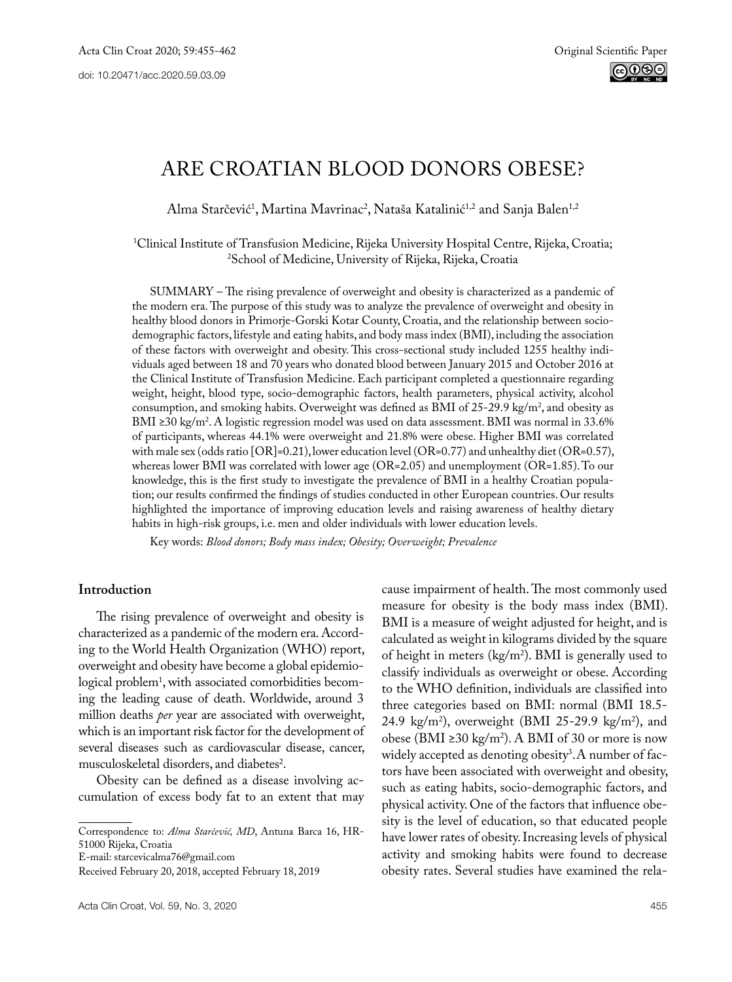# Are Croatian blood donors obese?

Alma Starčević<sup>1</sup>, Martina Mavrinac<sup>2</sup>, Nataša Katalinić<sup>1,2</sup> and Sanja Balen<sup>1,2</sup>

1 Clinical Institute of Transfusion Medicine, Rijeka University Hospital Centre, Rijeka, Croatia; 2 School of Medicine, University of Rijeka, Rijeka, Croatia

SUMMARY – The rising prevalence of overweight and obesity is characterized as a pandemic of the modern era. The purpose of this study was to analyze the prevalence of overweight and obesity in healthy blood donors in Primorje-Gorski Kotar County, Croatia, and the relationship between sociodemographic factors, lifestyle and eating habits, and body mass index (BMI), including the association of these factors with overweight and obesity. This cross-sectional study included 1255 healthy individuals aged between 18 and 70 years who donated blood between January 2015 and October 2016 at the Clinical Institute of Transfusion Medicine. Each participant completed a questionnaire regarding weight, height, blood type, socio-demographic factors, health parameters, physical activity, alcohol consumption, and smoking habits. Overweight was defined as BM1 of  $25$ -29.9 kg/m<sup>2</sup>, and obesity as BMI ≥30 kg/m2 . A logistic regression model was used on data assessment. BMI was normal in 33.6% of participants, whereas 44.1% were overweight and 21.8% were obese. Higher BMI was correlated with male sex (odds ratio [OR]=0.21), lower education level (OR=0.77) and unhealthy diet (OR=0.57), whereas lower BMI was correlated with lower age (OR=2.05) and unemployment (OR=1.85). To our knowledge, this is the first study to investigate the prevalence of BMI in a healthy Croatian population; our results confirmed the findings of studies conducted in other European countries. Our results highlighted the importance of improving education levels and raising awareness of healthy dietary habits in high-risk groups, i.e. men and older individuals with lower education levels.

Key words: *Blood donors; Body mass index; Obesity; Overweight; Prevalence*

## **Introduction**

The rising prevalence of overweight and obesity is characterized as a pandemic of the modern era. According to the World Health Organization (WHO) report, overweight and obesity have become a global epidemio- $\log$ ical problem $^1$ , with associated comorbidities becoming the leading cause of death. Worldwide, around 3 million deaths *per* year are associated with overweight, which is an important risk factor for the development of several diseases such as cardiovascular disease, cancer, musculoskeletal disorders, and diabetes<sup>2</sup>.

Obesity can be defined as a disease involving accumulation of excess body fat to an extent that may

E-mail: [starcevicalma76@gmail.com](mailto:starcevicalma76@gmail.com)

cause impairment of health. The most commonly used measure for obesity is the body mass index (BMI). BMI is a measure of weight adjusted for height, and is calculated as weight in kilograms divided by the square of height in meters (kg/m2 ). BMI is generally used to classify individuals as overweight or obese. According to the WHO definition, individuals are classified into three categories based on BMI: normal (BMI 18.5- 24.9 kg/m2 ), overweight (BMI 25-29.9 kg/m2 ), and obese (BMI ≥30 kg/m<sup>2</sup>). A BMI of 30 or more is now widely accepted as denoting obesity3 .A number of factors have been associated with overweight and obesity, such as eating habits, socio-demographic factors, and physical activity. One of the factors that influence obesity is the level of education, so that educated people have lower rates of obesity. Increasing levels of physical activity and smoking habits were found to decrease obesity rates. Several studies have examined the rela-

Correspondence to: *Alma Starčević, MD*, Antuna Barca 16, HR-51000 Rijeka, Croatia

Received February 20, 2018, accepted February 18, 2019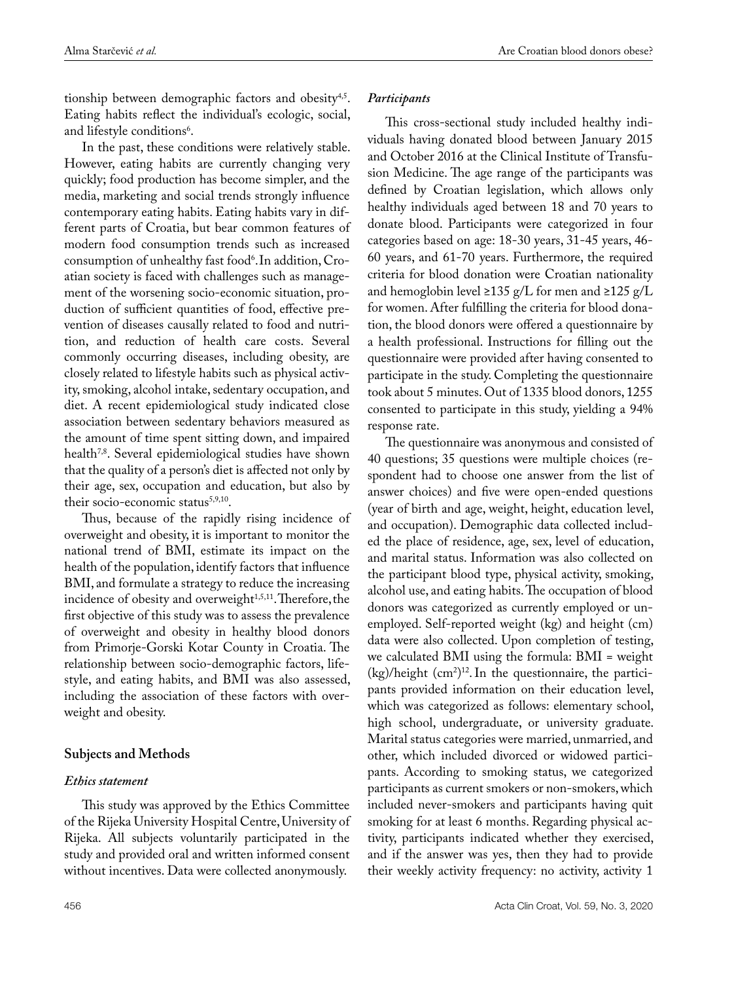tionship between demographic factors and obesity<sup>4,5</sup>. Eating habits reflect the individual's ecologic, social, and lifestyle conditions<sup>6</sup>.

In the past, these conditions were relatively stable. However, eating habits are currently changing very quickly; food production has become simpler, and the media, marketing and social trends strongly influence contemporary eating habits. Eating habits vary in different parts of Croatia, but bear common features of modern food consumption trends such as increased consumption of unhealthy fast food<sup>6</sup>. In addition, Croatian society is faced with challenges such as management of the worsening socio-economic situation, production of sufficient quantities of food, effective prevention of diseases causally related to food and nutrition, and reduction of health care costs. Several commonly occurring diseases, including obesity, are closely related to lifestyle habits such as physical activity, smoking, alcohol intake, sedentary occupation, and diet. A recent epidemiological study indicated close association between sedentary behaviors measured as the amount of time spent sitting down, and impaired health<sup>7,8</sup>. Several epidemiological studies have shown that the quality of a person's diet is affected not only by their age, sex, occupation and education, but also by their socio-economic status<sup>5,9,10</sup>.

Thus, because of the rapidly rising incidence of overweight and obesity, it is important to monitor the national trend of BMI, estimate its impact on the health of the population, identify factors that influence BMI, and formulate a strategy to reduce the increasing incidence of obesity and overweight $1,5,11$ . Therefore, the first objective of this study was to assess the prevalence of overweight and obesity in healthy blood donors from Primorje-Gorski Kotar County in Croatia. The relationship between socio-demographic factors, lifestyle, and eating habits, and BMI was also assessed, including the association of these factors with overweight and obesity.

# **Subjects and Methods**

# *Ethics statement*

This study was approved by the Ethics Committee of the Rijeka University Hospital Centre, University of Rijeka. All subjects voluntarily participated in the study and provided oral and written informed consent without incentives. Data were collected anonymously.

## *Participants*

This cross-sectional study included healthy individuals having donated blood between January 2015 and October 2016 at the Clinical Institute of Transfusion Medicine. The age range of the participants was defined by Croatian legislation, which allows only healthy individuals aged between 18 and 70 years to donate blood. Participants were categorized in four categories based on age: 18-30 years, 31-45 years, 46- 60 years, and 61-70 years. Furthermore, the required criteria for blood donation were Croatian nationality and hemoglobin level ≥135 g/L for men and ≥125 g/L for women. After fulfilling the criteria for blood donation, the blood donors were offered a questionnaire by a health professional. Instructions for filling out the questionnaire were provided after having consented to participate in the study. Completing the questionnaire took about 5 minutes. Out of 1335 blood donors, 1255 consented to participate in this study, yielding a 94% response rate.

The questionnaire was anonymous and consisted of 40 questions; 35 questions were multiple choices (respondent had to choose one answer from the list of answer choices) and five were open-ended questions (year of birth and age, weight, height, education level, and occupation). Demographic data collected included the place of residence, age, sex, level of education, and marital status. Information was also collected on the participant blood type, physical activity, smoking, alcohol use, and eating habits. The occupation of blood donors was categorized as currently employed or unemployed. Self-reported weight (kg) and height (cm) data were also collected. Upon completion of testing, we calculated BMI using the formula: BMI = weight  $(kg)/$ height  $(cm<sup>2</sup>)<sup>12</sup>$ . In the questionnaire, the participants provided information on their education level, which was categorized as follows: elementary school, high school, undergraduate, or university graduate. Marital status categories were married, unmarried, and other, which included divorced or widowed participants. According to smoking status, we categorized participants as current smokers or non-smokers, which included never-smokers and participants having quit smoking for at least 6 months. Regarding physical activity, participants indicated whether they exercised, and if the answer was yes, then they had to provide their weekly activity frequency: no activity, activity 1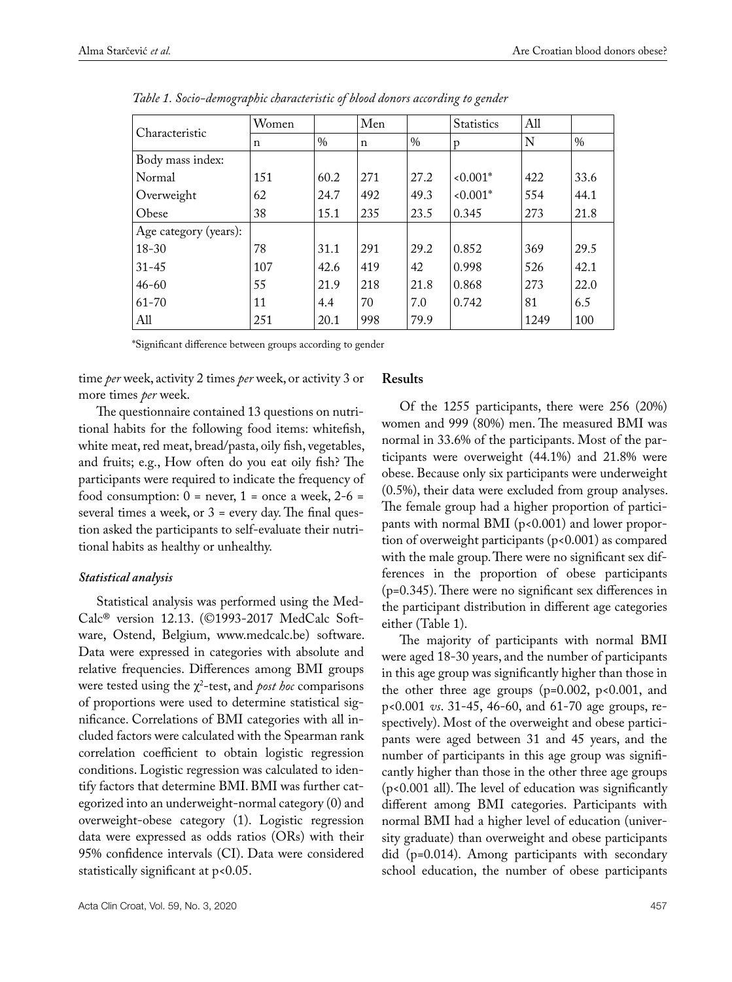| Characteristic        | Women |               | Men |      | <b>Statistics</b> | All  |      |
|-----------------------|-------|---------------|-----|------|-------------------|------|------|
|                       | n     | $\frac{0}{0}$ | n   | $\%$ | p                 | N    | $\%$ |
| Body mass index:      |       |               |     |      |                   |      |      |
| Normal                | 151   | 60.2          | 271 | 27.2 | $<0.001*$         | 422  | 33.6 |
| Overweight            | 62    | 24.7          | 492 | 49.3 | $<0.001*$         | 554  | 44.1 |
| Obese                 | 38    | 15.1          | 235 | 23.5 | 0.345             | 273  | 21.8 |
| Age category (years): |       |               |     |      |                   |      |      |
| $18 - 30$             | 78    | 31.1          | 291 | 29.2 | 0.852             | 369  | 29.5 |
| $31 - 45$             | 107   | 42.6          | 419 | 42   | 0.998             | 526  | 42.1 |
| $46 - 60$             | 55    | 21.9          | 218 | 21.8 | 0.868             | 273  | 22.0 |
| $61 - 70$             | 11    | 4.4           | 70  | 7.0  | 0.742             | 81   | 6.5  |
| All                   | 251   | 20.1          | 998 | 79.9 |                   | 1249 | 100  |

*Table 1. Socio-demographic characteristic of blood donors according to gender*

\*Significant difference between groups according to gender

time *per* week, activity 2 times *per* week, or activity 3 or more times *per* week.

The questionnaire contained 13 questions on nutritional habits for the following food items: whitefish, white meat, red meat, bread/pasta, oily fish, vegetables, and fruits; e.g., How often do you eat oily fish? The participants were required to indicate the frequency of food consumption:  $0 =$  never,  $1 =$  once a week,  $2-6 =$ several times a week, or  $3$  = every day. The final question asked the participants to self-evaluate their nutritional habits as healthy or unhealthy.

# *Statistical analysis*

Statistical analysis was performed using the Med-Calc® version 12.13. (©1993-2017 MedCalc Software, Ostend, Belgium, www.medcalc.be) software. Data were expressed in categories with absolute and relative frequencies. Differences among BMI groups were tested using the χ<sup>2</sup> -test, and *post hoc* comparisons of proportions were used to determine statistical significance. Correlations of BMI categories with all included factors were calculated with the Spearman rank correlation coefficient to obtain logistic regression conditions. Logistic regression was calculated to identify factors that determine BMI. BMI was further categorized into an underweight-normal category (0) and overweight-obese category (1). Logistic regression data were expressed as odds ratios (ORs) with their 95% confidence intervals (CI). Data were considered statistically significant at p<0.05.

## **Results**

Of the 1255 participants, there were 256 (20%) women and 999 (80%) men. The measured BMI was normal in 33.6% of the participants. Most of the participants were overweight (44.1%) and 21.8% were obese. Because only six participants were underweight (0.5%), their data were excluded from group analyses. The female group had a higher proportion of participants with normal BMI ( $p$ <0.001) and lower proportion of overweight participants (p<0.001) as compared with the male group. There were no significant sex differences in the proportion of obese participants (p=0.345). There were no significant sex differences in the participant distribution in different age categories either (Table 1).

The majority of participants with normal BMI were aged 18-30 years, and the number of participants in this age group was significantly higher than those in the other three age groups ( $p=0.002$ ,  $p<0.001$ , and p<0.001 *vs*. 31-45, 46-60, and 61-70 age groups, respectively). Most of the overweight and obese participants were aged between 31 and 45 years, and the number of participants in this age group was significantly higher than those in the other three age groups (p<0.001 all). The level of education was significantly different among BMI categories. Participants with normal BMI had a higher level of education (university graduate) than overweight and obese participants did (p=0.014). Among participants with secondary school education, the number of obese participants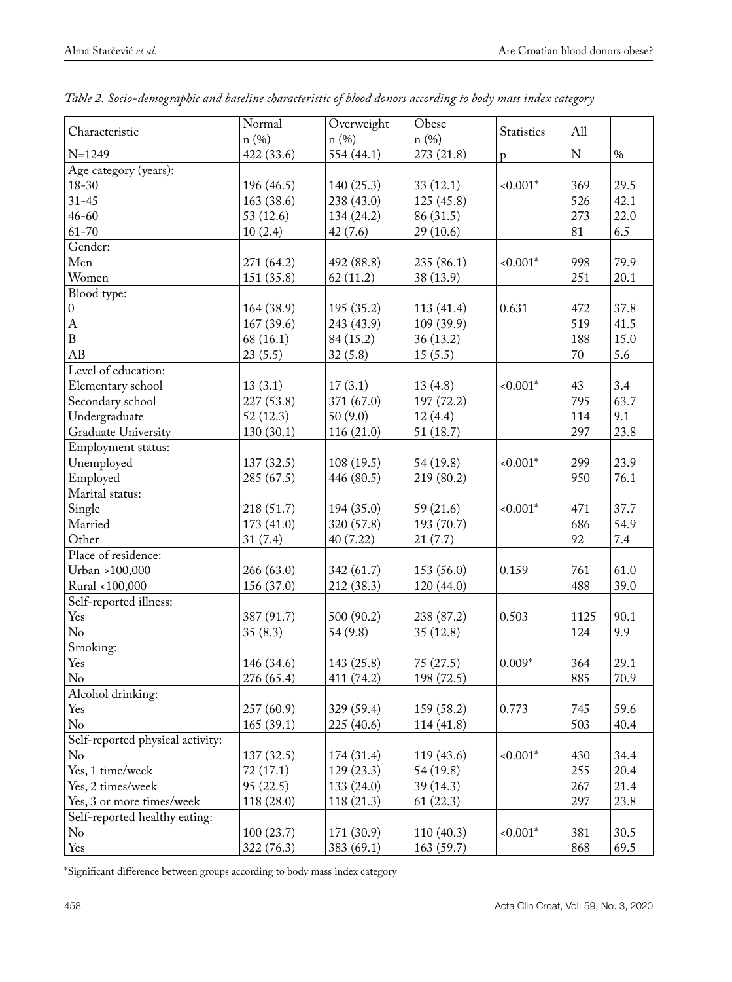| Characteristic                   | Normal                | Overweight | Obese      |              | All                     |      |
|----------------------------------|-----------------------|------------|------------|--------------|-------------------------|------|
|                                  | n (%)                 | n(%)       | n (%)      | Statistics   |                         |      |
| $N = 1249$                       | 422 (33.6)            | 554(44.1)  | 273 (21.8) | $\mathbf{p}$ | $\overline{\mathbf{N}}$ | $\%$ |
| Age category (years):            |                       |            |            |              |                         |      |
| 18-30                            | 196 (46.5)            | 140(25.3)  | 33(12.1)   | $< 0.001*$   | 369                     | 29.5 |
| $31 - 45$                        | 163 (38.6)            | 238 (43.0) | 125(45.8)  |              | 526                     | 42.1 |
| $46 - 60$                        | 53(12.6)              | 134(24.2)  | 86 (31.5)  |              | 273                     | 22.0 |
| $61 - 70$                        | 10(2.4)               | 42(7.6)    | 29 (10.6)  |              | 81                      | 6.5  |
| Gender:                          |                       |            |            |              |                         |      |
| Men                              | 271 (64.2)            | 492 (88.8) | 235 (86.1) | $0.001*$     | 998                     | 79.9 |
| Women                            | 151 (35.8)            | 62(11.2)   | 38 (13.9)  |              | 251                     | 20.1 |
| Blood type:                      |                       |            |            |              |                         |      |
| $\boldsymbol{0}$                 | 164 (38.9)            | 195(35.2)  | 113 (41.4) | 0.631        | 472                     | 37.8 |
| $\boldsymbol{A}$                 | 167(39.6)             | 243 (43.9) | 109 (39.9) |              | 519                     | 41.5 |
| $\, {\bf B}$                     | 68(16.1)              | 84 (15.2)  | 36(13.2)   |              | 188                     | 15.0 |
| AB                               | 23(5.5)               | 32(5.8)    | 15(5.5)    |              | 70                      | 5.6  |
| Level of education:              |                       |            |            |              |                         |      |
| Elementary school                | 13(3.1)               | 17(3.1)    | 13(4.8)    | $0.001*$     | 43                      | 3.4  |
| Secondary school                 | 227 (53.8)            | 371 (67.0) | 197 (72.2) |              | 795                     | 63.7 |
|                                  |                       |            |            |              | 114                     | 9.1  |
| Undergraduate                    | 52(12.3)<br>130(30.1) | 50(9.0)    | 12(4.4)    |              | 297                     | 23.8 |
| Graduate University              |                       | 116(21.0)  | 51(18.7)   |              |                         |      |
| Employment status:               |                       |            |            |              |                         |      |
| Unemployed                       | 137(32.5)             | 108(19.5)  | 54 (19.8)  | $0.001*$     | 299                     | 23.9 |
| Employed                         | 285 (67.5)            | 446 (80.5) | 219 (80.2) |              | 950                     | 76.1 |
| Marital status:                  |                       |            |            |              |                         |      |
| Single                           | 218 (51.7)            | 194(35.0)  | 59 (21.6)  | $0.001*$     | 471                     | 37.7 |
| Married                          | 173 (41.0)            | 320 (57.8) | 193 (70.7) |              | 686                     | 54.9 |
| Other                            | 31(7.4)               | 40 (7.22)  | 21(7.7)    |              | 92                      | 7.4  |
| Place of residence:              |                       |            |            |              |                         |      |
| Urban >100,000                   | 266 (63.0)            | 342 (61.7) | 153 (56.0) | 0.159        | 761                     | 61.0 |
| Rural <100,000                   | 156 (37.0)            | 212 (38.3) | 120 (44.0) |              | 488                     | 39.0 |
| Self-reported illness:           |                       |            |            |              |                         |      |
| Yes                              | 387 (91.7)            | 500 (90.2) | 238 (87.2) | 0.503        | 1125                    | 90.1 |
| $\rm No$                         | 35(8.3)               | 54 (9.8)   | 35(12.8)   |              | 124                     | 9.9  |
| Smoking:                         |                       |            |            |              |                         |      |
| Yes                              | 146 (34.6)            | 143 (25.8) | 75(27.5)   | $0.009*$     | 364                     | 29.1 |
| No                               | 276 (65.4)            | 411(74.2)  | 198 (72.5) |              | 885                     | 70.9 |
| Alcohol drinking:                |                       |            |            |              |                         |      |
| Yes                              | 257(60.9)             | 329 (59.4) | 159 (58.2) | 0.773        | 745                     | 59.6 |
| No                               | 165(39.1)             | 225 (40.6) | 114(41.8)  |              | 503                     | 40.4 |
| Self-reported physical activity: |                       |            |            |              |                         |      |
| No                               | 137(32.5)             | 174(31.4)  | 119 (43.6) | $0.001*$     | 430                     | 34.4 |
| Yes, 1 time/week                 | 72(17.1)              | 129(23.3)  | 54 (19.8)  |              | 255                     | 20.4 |
| Yes, 2 times/week                | 95(22.5)              | 133 (24.0) | 39 (14.3)  |              | 267                     | 21.4 |
| Yes, 3 or more times/week        | 118 (28.0)            | 118(21.3)  | 61(22.3)   |              | 297                     | 23.8 |
| Self-reported healthy eating:    |                       |            |            |              |                         |      |
| No                               | 100(23.7)             | 171 (30.9) | 110(40.3)  | $0.001*$     | 381                     | 30.5 |
| Yes                              | 322 (76.3)            | 383 (69.1) | 163 (59.7) |              | 868                     | 69.5 |
|                                  |                       |            |            |              |                         |      |

| Table 2. Socio-demographic and baseline characteristic of blood donors according to body mass index category |  |  |  |
|--------------------------------------------------------------------------------------------------------------|--|--|--|
|--------------------------------------------------------------------------------------------------------------|--|--|--|

\*Significant difference between groups according to body mass index category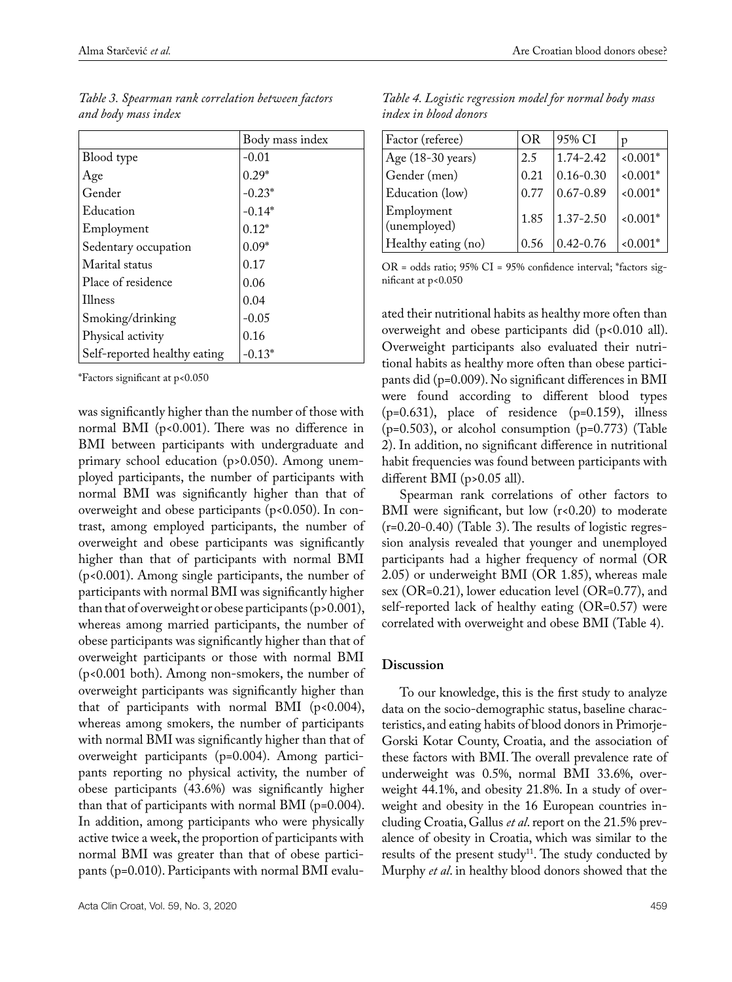|                              | Body mass index |
|------------------------------|-----------------|
| Blood type                   | $-0.01$         |
| Age                          | $0.29*$         |
| Gender                       | $-0.23*$        |
| Education                    | $-0.14*$        |
| Employment                   | $0.12*$         |
| Sedentary occupation         | $0.09*$         |
| Marital status               | 0.17            |
| Place of residence           | 0.06            |
| <b>Illness</b>               | 0.04            |
| Smoking/drinking             | $-0.05$         |
| Physical activity            | 0.16            |
| Self-reported healthy eating | $-0.13*$        |

*Table 3. Spearman rank correlation between factors and body mass index* 

\*Factors significant at p<0.050

was significantly higher than the number of those with normal BMI (p<0.001). There was no difference in BMI between participants with undergraduate and primary school education (p>0.050). Among unemployed participants, the number of participants with normal BMI was significantly higher than that of overweight and obese participants (p<0.050). In contrast, among employed participants, the number of overweight and obese participants was significantly higher than that of participants with normal BMI (p<0.001). Among single participants, the number of participants with normal BMI was significantly higher than that of overweight or obese participants (p>0.001), whereas among married participants, the number of obese participants was significantly higher than that of overweight participants or those with normal BMI (p<0.001 both). Among non-smokers, the number of overweight participants was significantly higher than that of participants with normal BMI ( $p<0.004$ ), whereas among smokers, the number of participants with normal BMI was significantly higher than that of overweight participants (p=0.004). Among participants reporting no physical activity, the number of obese participants (43.6%) was significantly higher than that of participants with normal BMI (p=0.004). In addition, among participants who were physically active twice a week, the proportion of participants with normal BMI was greater than that of obese participants (p=0.010). Participants with normal BMI evalu-

*Table 4. Logistic regression model for normal body mass index in blood donors*

| Factor (referee)           | OR   | 95% CI        | D          |
|----------------------------|------|---------------|------------|
| Age (18-30 years)          | 2.5  | $1.74 - 2.42$ | $0.001*$   |
| Gender (men)               | 0.21 | $0.16 - 0.30$ | $0.001*$   |
| Education (low)            | 0.77 | $0.67 - 0.89$ | $0.001*$   |
| Employment<br>(unemployed) | 1.85 | $1.37 - 2.50$ | $< 0.001*$ |
| Healthy eating (no)        | 0.56 | $0.42 - 0.76$ | $0.001*$   |

OR = odds ratio; 95% CI = 95% confidence interval; \*factors significant at p<0.050

ated their nutritional habits as healthy more often than overweight and obese participants did (p<0.010 all). Overweight participants also evaluated their nutritional habits as healthy more often than obese participants did (p=0.009). No significant differences in BMI were found according to different blood types (p=0.631), place of residence (p=0.159), illness  $(p=0.503)$ , or alcohol consumption  $(p=0.773)$  (Table 2). In addition, no significant difference in nutritional habit frequencies was found between participants with different BMI (p>0.05 all).

Spearman rank correlations of other factors to BMI were significant, but low  $(r<0.20)$  to moderate  $(r=0.20-0.40)$  (Table 3). The results of logistic regression analysis revealed that younger and unemployed participants had a higher frequency of normal (OR 2.05) or underweight BMI (OR 1.85), whereas male sex (OR=0.21), lower education level (OR=0.77), and self-reported lack of healthy eating (OR=0.57) were correlated with overweight and obese BMI (Table 4).

#### **Discussion**

To our knowledge, this is the first study to analyze data on the socio-demographic status, baseline characteristics, and eating habits of blood donors in Primorje-Gorski Kotar County, Croatia, and the association of these factors with BMI. The overall prevalence rate of underweight was 0.5%, normal BMI 33.6%, overweight 44.1%, and obesity 21.8%. In a study of overweight and obesity in the 16 European countries including Croatia, Gallus *et al*. report on the 21.5% prevalence of obesity in Croatia, which was similar to the results of the present study<sup>11</sup>. The study conducted by Murphy *et al*. in healthy blood donors showed that the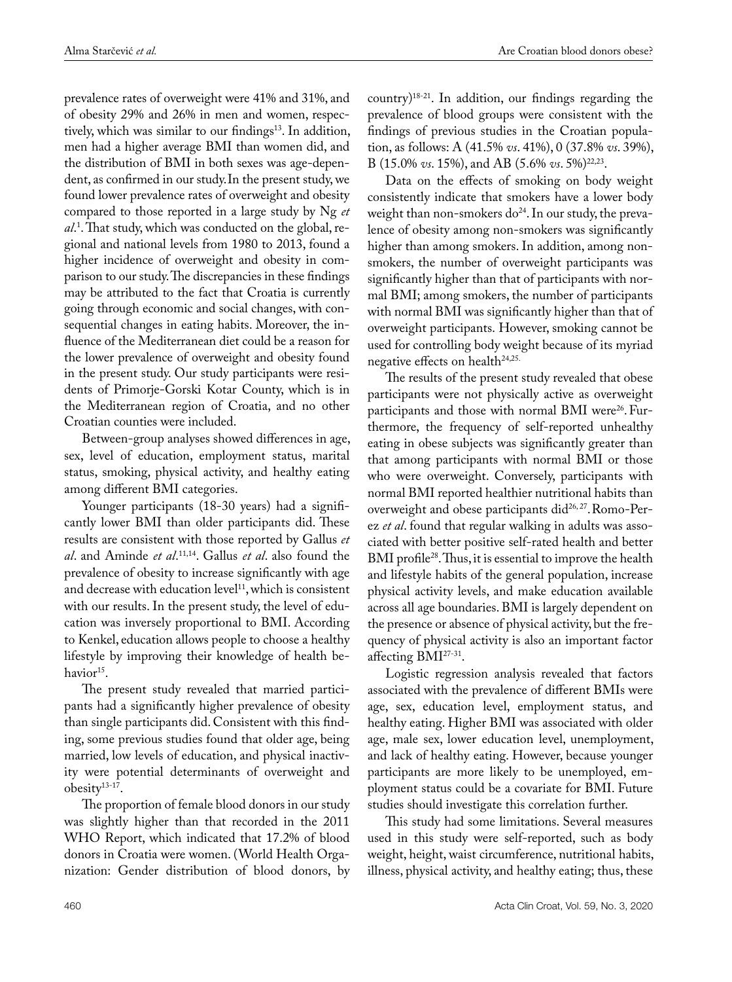prevalence rates of overweight were 41% and 31%, and of obesity 29% and 26% in men and women, respectively, which was similar to our findings<sup>13</sup>. In addition, men had a higher average BMI than women did, and the distribution of BMI in both sexes was age-dependent, as confirmed in our study.In the present study, we found lower prevalence rates of overweight and obesity compared to those reported in a large study by Ng *et al*. 1 . That study, which was conducted on the global, regional and national levels from 1980 to 2013, found a higher incidence of overweight and obesity in comparison to our study. The discrepancies in these findings may be attributed to the fact that Croatia is currently going through economic and social changes, with consequential changes in eating habits. Moreover, the influence of the Mediterranean diet could be a reason for the lower prevalence of overweight and obesity found in the present study. Our study participants were residents of Primorje-Gorski Kotar County, which is in the Mediterranean region of Croatia, and no other Croatian counties were included.

Between-group analyses showed differences in age, sex, level of education, employment status, marital status, smoking, physical activity, and healthy eating among different BMI categories.

Younger participants (18-30 years) had a significantly lower BMI than older participants did. These results are consistent with those reported by Gallus *et al*. and Aminde *et al*. 11,14. Gallus *et al*. also found the prevalence of obesity to increase significantly with age and decrease with education level<sup>11</sup>, which is consistent with our results. In the present study, the level of education was inversely proportional to BMI. According to Kenkel, education allows people to choose a healthy lifestyle by improving their knowledge of health behavior<sup>15</sup>.

The present study revealed that married participants had a significantly higher prevalence of obesity than single participants did. Consistent with this finding, some previous studies found that older age, being married, low levels of education, and physical inactivity were potential determinants of overweight and obesity13-17.

The proportion of female blood donors in our study was slightly higher than that recorded in the 2011 WHO Report, which indicated that 17.2% of blood donors in Croatia were women. (World Health Organization: Gender distribution of blood donors, by country)18-21. In addition, our findings regarding the prevalence of blood groups were consistent with the findings of previous studies in the Croatian population, as follows: A (41.5% *vs*. 41%), 0 (37.8% *vs*. 39%), B (15.0% *vs*. 15%), and AB (5.6% *vs*. 5%)22,23.

Data on the effects of smoking on body weight consistently indicate that smokers have a lower body weight than non-smokers  $do^{24}$ . In our study, the prevalence of obesity among non-smokers was significantly higher than among smokers. In addition, among nonsmokers, the number of overweight participants was significantly higher than that of participants with normal BMI; among smokers, the number of participants with normal BMI was significantly higher than that of overweight participants. However, smoking cannot be used for controlling body weight because of its myriad negative effects on health<sup>24,25.</sup>

The results of the present study revealed that obese participants were not physically active as overweight participants and those with normal BMI were<sup>26</sup>. Furthermore, the frequency of self-reported unhealthy eating in obese subjects was significantly greater than that among participants with normal BMI or those who were overweight. Conversely, participants with normal BMI reported healthier nutritional habits than overweight and obese participants did<sup>26,27</sup>. Romo-Perez *et al*. found that regular walking in adults was associated with better positive self-rated health and better BMI profile<sup>28</sup>. Thus, it is essential to improve the health and lifestyle habits of the general population, increase physical activity levels, and make education available across all age boundaries. BMI is largely dependent on the presence or absence of physical activity, but the frequency of physical activity is also an important factor affecting BMI27-31.

Logistic regression analysis revealed that factors associated with the prevalence of different BMIs were age, sex, education level, employment status, and healthy eating. Higher BMI was associated with older age, male sex, lower education level, unemployment, and lack of healthy eating. However, because younger participants are more likely to be unemployed, employment status could be a covariate for BMI. Future studies should investigate this correlation further.

This study had some limitations. Several measures used in this study were self-reported, such as body weight, height, waist circumference, nutritional habits, illness, physical activity, and healthy eating; thus, these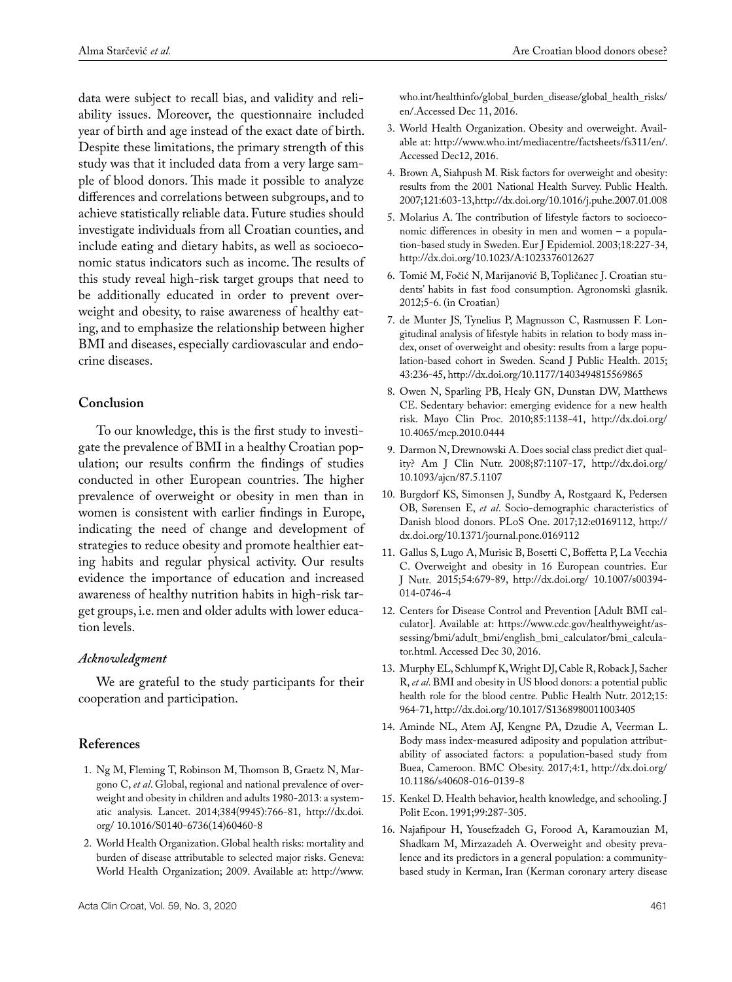data were subject to recall bias, and validity and reliability issues. Moreover, the questionnaire included year of birth and age instead of the exact date of birth. Despite these limitations, the primary strength of this study was that it included data from a very large sample of blood donors. This made it possible to analyze differences and correlations between subgroups, and to achieve statistically reliable data. Future studies should investigate individuals from all Croatian counties, and include eating and dietary habits, as well as socioeconomic status indicators such as income. The results of this study reveal high-risk target groups that need to be additionally educated in order to prevent overweight and obesity, to raise awareness of healthy eating, and to emphasize the relationship between higher BMI and diseases, especially cardiovascular and endocrine diseases.

## **Conclusion**

To our knowledge, this is the first study to investigate the prevalence of BMI in a healthy Croatian population; our results confirm the findings of studies conducted in other European countries. The higher prevalence of overweight or obesity in men than in women is consistent with earlier findings in Europe, indicating the need of change and development of strategies to reduce obesity and promote healthier eating habits and regular physical activity. Our results evidence the importance of education and increased awareness of healthy nutrition habits in high-risk target groups, i.e. men and older adults with lower education levels.

#### *Acknowledgment*

We are grateful to the study participants for their cooperation and participation.

## **References**

- 1. Ng M, Fleming T, Robinson M, Thomson B, Graetz N, Margono C, *et al*. Global, regional and national prevalence of overweight and obesity in children and adults 1980-2013: a systematic analysis*.* Lancet. 2014;384(9945):766-81, http://dx.doi. org/ 10.1016/S0140-6736(14)60460-8
- 2. World Health Organization. Global health risks: mortality and burden of disease attributable to selected major risks. Geneva: World Health Organization; 2009. Available at: http://www.

who.int/healthinfo/global\_burden\_disease/global\_health\_risks/ en/.Accessed Dec 11, 2016.

- 3. World Health Organization. Obesity and overweight. Available at: [http://www.who.int/mediacentre/factsheets/fs311/en/.](http://www.who.int/mediacentre/factsheets/fs311/en/) Accessed Dec12, 2016.
- 4. Brown A, Siahpush M. Risk factors for overweight and obesity: results from the 2001 National Health Survey. Public Health. 2007;121:603-13, http://dx.doi.org/[10.1016/j.puhe.2007.01.008](https://doi.org/10.1016/j.puhe.2007.01.008)
- 5. Molarius A. The contribution of lifestyle factors to socioeconomic differences in obesity in men and women – a population-based study in Sweden. Eur J Epidemiol. 2003;18:227-34, http://dx.doi.org/10.1023/A:1023376012627
- 6. Tomić M, Fočić N, Marijanović B, Topličanec J. Croatian students' habits in fast food consumption. Agronomski glasnik. 2012;5-6. (in Croatian)
- 7. de Munter JS, Tynelius P, Magnusson C, Rasmussen F. Longitudinal analysis of lifestyle habits in relation to body mass index, onset of overweight and obesity: results from a large population-based cohort in Sweden. Scand J Public Health. 2015; 43:236-45, http://dx.doi.org/10.1177/1403494815569865
- 8. Owen N, Sparling PB, Healy GN, Dunstan DW, Matthews CE. Sedentary behavior: emerging evidence for a new health risk. Mayo Clin Proc. 2010;85:1138-41, http://dx.doi.org/ 10.4065/mcp.2010.0444
- 9. Darmon N, Drewnowski A. Does social class predict diet quality? Am J Clin Nutr. 2008;87:1107-17, [http://dx.doi.org/](http://dx.doi.org/10.1093/ajcn/87.5.1107) [10.1093/ajcn/87.5.1107](http://dx.doi.org/10.1093/ajcn/87.5.1107)
- 10. Burgdorf KS, Simonsen J, Sundby A, Rostgaard K, Pedersen OB, Sørensen E, *et al*. Socio-demographic characteristics of Danish blood donors. PLoS One. 2017;12:e0169112, http:// dx.doi.org/10.1371/journal.pone.0169112
- 11. Gallus S, Lugo A, Murisic B, Bosetti C, Boffetta P, La Vecchia C. Overweight and obesity in 16 European countries. Eur J Nutr. 2015;54:679-89, http://dx.doi.org/ 10.1007/s00394- 014-0746-4
- 12. Centers for Disease Control and Prevention [Adult BMI calculator]. Available at: [https://www.cdc.gov/healthyweight/as](https://www.cdc.gov/healthyweight/assessing/bmi/adult_bmi/english_bmi_calculator/bmi_calculator.html)[sessing/bmi/adult\\_bmi/english\\_bmi\\_calculator/bmi\\_calcula](https://www.cdc.gov/healthyweight/assessing/bmi/adult_bmi/english_bmi_calculator/bmi_calculator.html)[tor.html](https://www.cdc.gov/healthyweight/assessing/bmi/adult_bmi/english_bmi_calculator/bmi_calculator.html). Accessed Dec 30, 2016.
- 13. Murphy EL, Schlumpf K, Wright DJ, Cable R, Roback J, Sacher R, *et al*. BMI and obesity in US blood donors: a potential public health role for the blood centre*.* Public Health Nutr. 2012;15: 964-71, http://dx.doi.org/10.1017/S1368980011003405
- 14. Aminde NL, Atem AJ, Kengne PA, Dzudie A, Veerman L. Body mass index-measured adiposity and population attributability of associated factors: a population-based study from Buea, Cameroon. BMC Obesity. 2017;4:1, http://dx.doi.org/ 10.1186/s40608-016-0139-8
- 15. Kenkel D. Health behavior, health knowledge, and schooling. J Polit Econ. 1991;99:287-305.
- 16. Najafipour H, Yousefzadeh G, Forood A, Karamouzian M, Shadkam M, Mirzazadeh A. Overweight and obesity prevalence and its predictors in a general population: a communitybased study in Kerman, Iran (Kerman coronary artery disease